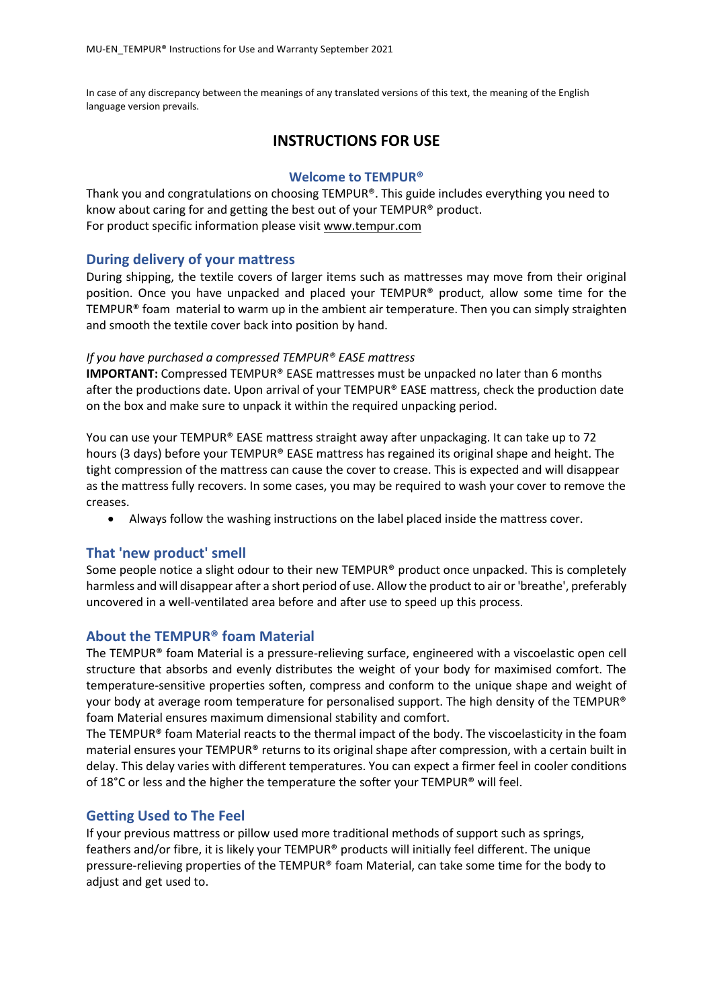In case of any discrepancy between the meanings of any translated versions of this text, the meaning of the English language version prevails.

# **INSTRUCTIONS FOR USE**

### **Welcome to TEMPUR®**

Thank you and congratulations on choosing TEMPUR®. This guide includes everything you need to know about caring for and getting the best out of your TEMPUR® product. For product specific information please visit [www.tempur.com](http://www.tempur.com/) 

### **During delivery of your mattress**

During shipping, the textile covers of larger items such as mattresses may move from their original position. Once you have unpacked and placed your TEMPUR® product, allow some time for the TEMPUR® foam material to warm up in the ambient air temperature. Then you can simply straighten and smooth the textile cover back into position by hand.

### *If you have purchased a compressed TEMPUR® EASE mattress*

**IMPORTANT:** Compressed TEMPUR® EASE mattresses must be unpacked no later than 6 months after the productions date. Upon arrival of your TEMPUR® EASE mattress, check the production date on the box and make sure to unpack it within the required unpacking period.

You can use your TEMPUR® EASE mattress straight away after unpackaging. It can take up to 72 hours (3 days) before your TEMPUR® EASE mattress has regained its original shape and height. The tight compression of the mattress can cause the cover to crease. This is expected and will disappear as the mattress fully recovers. In some cases, you may be required to wash your cover to remove the creases.

• Always follow the washing instructions on the label placed inside the mattress cover.

### **That 'new product' smell**

Some people notice a slight odour to their new TEMPUR® product once unpacked. This is completely harmless and will disappear after a short period of use. Allow the product to air or 'breathe', preferably uncovered in a well-ventilated area before and after use to speed up this process.

### **About the TEMPUR® foam Material**

The TEMPUR® foam Material is a pressure-relieving surface, engineered with a viscoelastic open cell structure that absorbs and evenly distributes the weight of your body for maximised comfort. The temperature-sensitive properties soften, compress and conform to the unique shape and weight of your body at average room temperature for personalised support. The high density of the TEMPUR® foam Material ensures maximum dimensional stability and comfort.

The TEMPUR<sup>®</sup> foam Material reacts to the thermal impact of the body. The viscoelasticity in the foam material ensures your TEMPUR® returns to its original shape after compression, with a certain built in delay. This delay varies with different temperatures. You can expect a firmer feel in cooler conditions of 18 $^{\circ}$ C or less and the higher the temperature the softer your TEMPUR® will feel.

### **Getting Used to The Feel**

If your previous mattress or pillow used more traditional methods of support such as springs, feathers and/or fibre, it is likely your TEMPUR® products will initially feel different. The unique pressure-relieving properties of the TEMPUR® foam Material, can take some time for the body to adjust and get used to.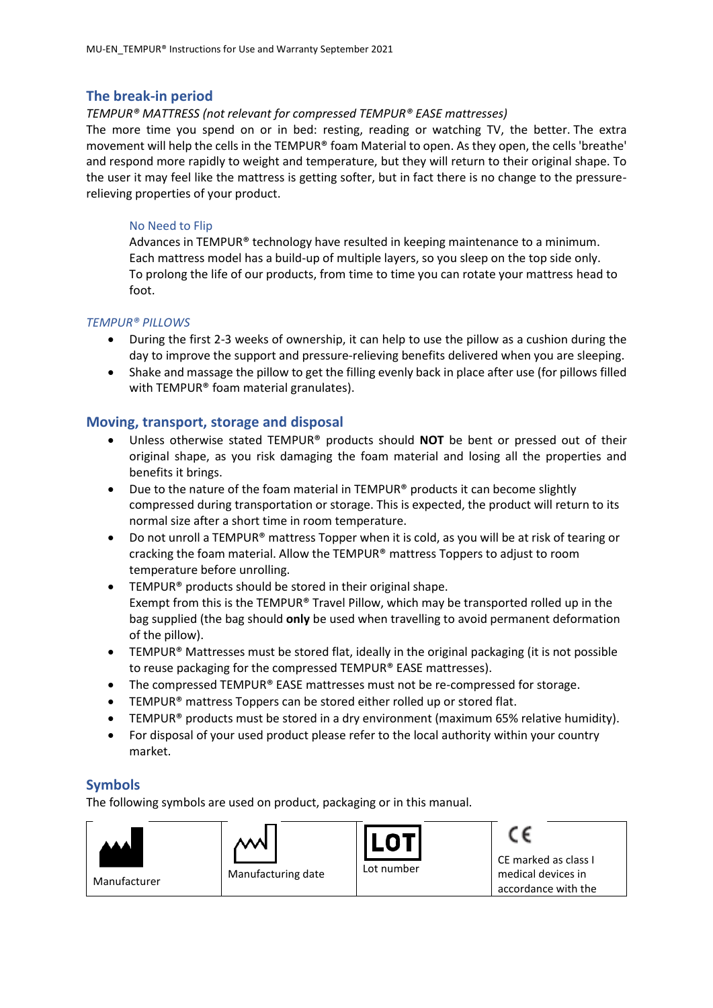### **The break-in period**

#### *TEMPUR® MATTRESS (not relevant for compressed TEMPUR® EASE mattresses)*

The more time you spend on or in bed: resting, reading or watching TV, the better. The extra movement will help the cells in the TEMPUR® foam Material to open. As they open, the cells 'breathe' and respond more rapidly to weight and temperature, but they will return to their original shape. To the user it may feel like the mattress is getting softer, but in fact there is no change to the pressurerelieving properties of your product.

#### No Need to Flip

Advances in TEMPUR® technology have resulted in keeping maintenance to a minimum. Each mattress model has a build-up of multiple layers, so you sleep on the top side only. To prolong the life of our products, from time to time you can rotate your mattress head to foot.

#### *TEMPUR® PILLOWS*

- During the first 2-3 weeks of ownership, it can help to use the pillow as a cushion during the day to improve the support and pressure-relieving benefits delivered when you are sleeping.
- Shake and massage the pillow to get the filling evenly back in place after use (for pillows filled with TEMPUR® foam material granulates).

### **Moving, transport, storage and disposal**

- Unless otherwise stated TEMPUR® products should **NOT** be bent or pressed out of their original shape, as you risk damaging the foam material and losing all the properties and benefits it brings.
- Due to the nature of the foam material in TEMPUR® products it can become slightly compressed during transportation or storage. This is expected, the product will return to its normal size after a short time in room temperature.
- Do not unroll a TEMPUR® mattress Topper when it is cold, as you will be at risk of tearing or cracking the foam material. Allow the TEMPUR® mattress Toppers to adjust to room temperature before unrolling.
- TEMPUR® products should be stored in their original shape. Exempt from this is the TEMPUR® Travel Pillow, which may be transported rolled up in the bag supplied (the bag should **only** be used when travelling to avoid permanent deformation of the pillow).
- TEMPUR<sup>®</sup> Mattresses must be stored flat, ideally in the original packaging (it is not possible to reuse packaging for the compressed TEMPUR® EASE mattresses).
- The compressed TEMPUR® EASE mattresses must not be re-compressed for storage.
- TEMPUR<sup>®</sup> mattress Toppers can be stored either rolled up or stored flat.
- TEMPUR® products must be stored in a dry environment (maximum 65% relative humidity).
- For disposal of your used product please refer to the local authority within your country market.

### **Symbols**

The following symbols are used on product, packaging or in this manual.

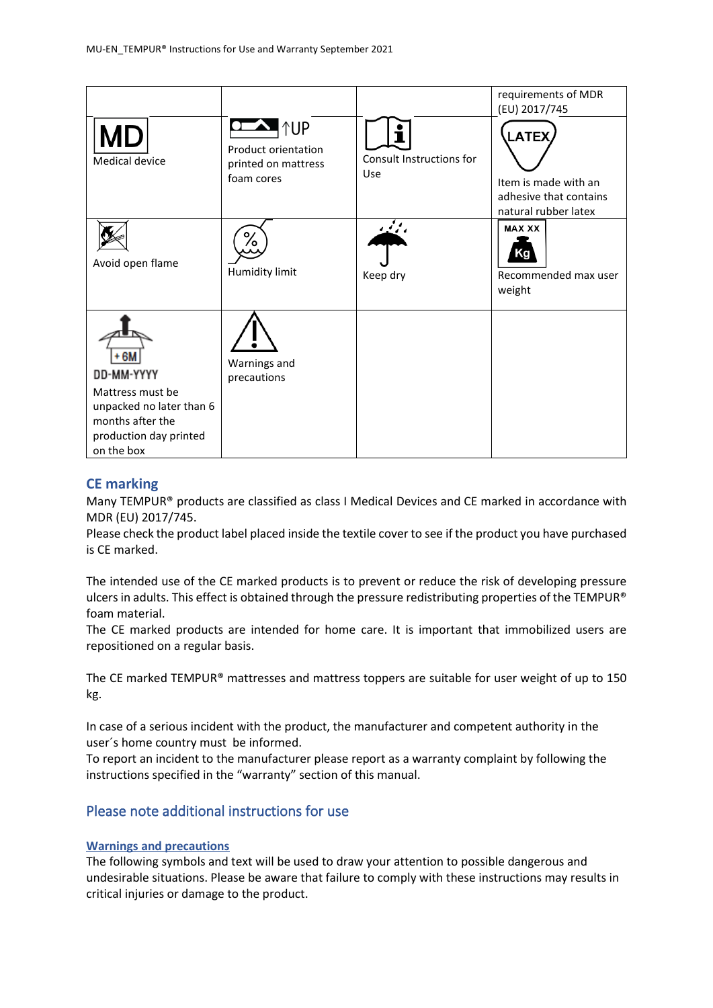|                                                                                                                               |                                                                                  |                                 | requirements of MDR<br>(EU) 2017/745                                                   |
|-------------------------------------------------------------------------------------------------------------------------------|----------------------------------------------------------------------------------|---------------------------------|----------------------------------------------------------------------------------------|
| Medical device                                                                                                                | $\sum$ $\uparrow$ UP<br>Product orientation<br>printed on mattress<br>foam cores | Consult Instructions for<br>Use | <b>LATEX</b><br>Item is made with an<br>adhesive that contains<br>natural rubber latex |
| Avoid open flame                                                                                                              | /٥<br>Humidity limit                                                             | وموثبه<br>Keep dry              | <b>MAX XX</b><br>Recommended max user<br>weight                                        |
| +6M<br>DD-MM-YYYY<br>Mattress must be<br>unpacked no later than 6<br>months after the<br>production day printed<br>on the box | Warnings and<br>precautions                                                      |                                 |                                                                                        |

### **CE marking**

Many TEMPUR® products are classified as class I Medical Devices and CE marked in accordance with MDR (EU) 2017/745.

Please check the product label placed inside the textile cover to see if the product you have purchased is CE marked.

The intended use of the CE marked products is to prevent or reduce the risk of developing pressure ulcers in adults. This effect is obtained through the pressure redistributing properties of the TEMPUR® foam material.

The CE marked products are intended for home care. It is important that immobilized users are repositioned on a regular basis.

The CE marked TEMPUR® mattresses and mattress toppers are suitable for user weight of up to 150 kg.

In case of a serious incident with the product, the manufacturer and competent authority in the user´s home country must be informed.

To report an incident to the manufacturer please report as a warranty complaint by following the instructions specified in the "warranty" section of this manual.

# Please note additional instructions for use

#### **Warnings and precautions**

The following symbols and text will be used to draw your attention to possible dangerous and undesirable situations. Please be aware that failure to comply with these instructions may results in critical injuries or damage to the product.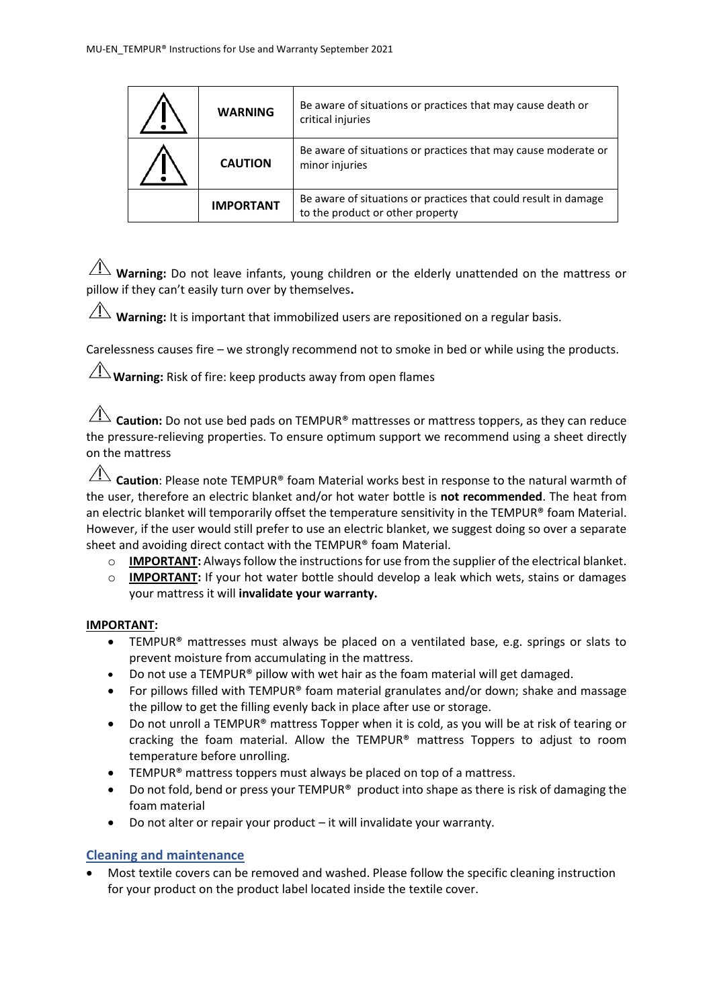| <b>WARNING</b>   | Be aware of situations or practices that may cause death or<br>critical injuries                    |
|------------------|-----------------------------------------------------------------------------------------------------|
| <b>CAUTION</b>   | Be aware of situations or practices that may cause moderate or<br>minor injuries                    |
| <b>IMPORTANT</b> | Be aware of situations or practices that could result in damage<br>to the product or other property |

 $\overline{\Lambda}$  **Warning:** Do not leave infants, young children or the elderly unattended on the mattress or pillow if they can't easily turn over by themselves**.**

 $\hat{A}$  **Warning:** It is important that immobilized users are repositioned on a regular basis.

Carelessness causes fire – we strongly recommend not to smoke in bed or while using the products.

 $\angle$ **Warning:** Risk of fire: keep products away from open flames

**Caution:** Do not use bed pads on TEMPUR<sup>®</sup> mattresses or mattress toppers, as they can reduce the pressure-relieving properties. To ensure optimum support we recommend using a sheet directly on the mattress

**Caution**: Please note TEMPUR® foam Material works best in response to the natural warmth of the user, therefore an electric blanket and/or hot water bottle is **not recommended**. The heat from an electric blanket will temporarily offset the temperature sensitivity in the TEMPUR® foam Material. However, if the user would still prefer to use an electric blanket, we suggest doing so over a separate sheet and avoiding direct contact with the TEMPUR® foam Material.

- $\circ$  **IMPORTANT:** Always follow the instructions for use from the supplier of the electrical blanket.
- o **IMPORTANT:** If your hot water bottle should develop a leak which wets, stains or damages your mattress it will **invalidate your warranty.**

#### **IMPORTANT:**

- TEMPUR® mattresses must always be placed on a ventilated base, e.g. springs or slats to prevent moisture from accumulating in the mattress.
- Do not use a TEMPUR® pillow with wet hair as the foam material will get damaged.
- For pillows filled with TEMPUR® foam material granulates and/or down; shake and massage the pillow to get the filling evenly back in place after use or storage.
- Do not unroll a TEMPUR® mattress Topper when it is cold, as you will be at risk of tearing or cracking the foam material. Allow the TEMPUR® mattress Toppers to adjust to room temperature before unrolling.
- TEMPUR<sup>®</sup> mattress toppers must always be placed on top of a mattress.
- Do not fold, bend or press your TEMPUR<sup>®</sup> product into shape as there is risk of damaging the foam material
- Do not alter or repair your product it will invalidate your warranty.

### **Cleaning and maintenance**

• Most textile covers can be removed and washed. Please follow the specific cleaning instruction for your product on the product label located inside the textile cover.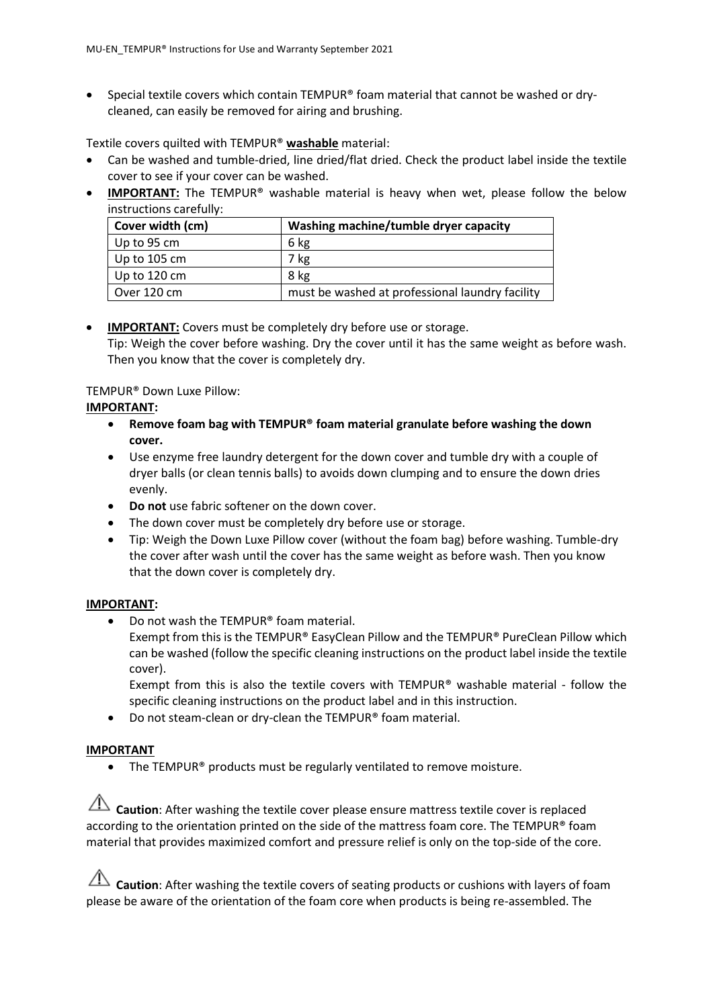• Special textile covers which contain TEMPUR® foam material that cannot be washed or drycleaned, can easily be removed for airing and brushing.

Textile covers quilted with TEMPUR® **washable** material:

- Can be washed and tumble-dried, line dried/flat dried. Check the product label inside the textile cover to see if your cover can be washed.
- **IMPORTANT:** The TEMPUR<sup>®</sup> washable material is heavy when wet, please follow the below instructions carefully:

| Cover width (cm)     | Washing machine/tumble dryer capacity           |
|----------------------|-------------------------------------------------|
| $\vert$ Up to 95 cm  | 6 kg                                            |
| $\vert$ Up to 105 cm | 7 kg                                            |
| Up to 120 cm         | 8 kg                                            |
| Over 120 cm          | must be washed at professional laundry facility |

### • **IMPORTANT:** Covers must be completely dry before use or storage. Tip: Weigh the cover before washing. Dry the cover until it has the same weight as before wash. Then you know that the cover is completely dry.

## TEMPUR® Down Luxe Pillow:

### **IMPORTANT:**

- **Remove foam bag with TEMPUR® foam material granulate before washing the down cover.**
- Use enzyme free laundry detergent for the down cover and tumble dry with a couple of dryer balls (or clean tennis balls) to avoids down clumping and to ensure the down dries evenly.
- **Do not** use fabric softener on the down cover.
- The down cover must be completely dry before use or storage.
- Tip: Weigh the Down Luxe Pillow cover (without the foam bag) before washing. Tumble-dry the cover after wash until the cover has the same weight as before wash. Then you know that the down cover is completely dry.

### **IMPORTANT:**

• Do not wash the TEMPUR® foam material. Exempt from this is the TEMPUR® EasyClean Pillow and the TEMPUR® PureClean Pillow which can be washed (follow the specific cleaning instructions on the product label inside the textile

cover). Exempt from this is also the textile covers with TEMPUR® washable material - follow the

specific cleaning instructions on the product label and in this instruction. • Do not steam-clean or dry-clean the TEMPUR® foam material.

# **IMPORTANT**

• The TEMPUR<sup>®</sup> products must be regularly ventilated to remove moisture.

**Caution**: After washing the textile cover please ensure mattress textile cover is replaced according to the orientation printed on the side of the mattress foam core. The TEMPUR® foam material that provides maximized comfort and pressure relief is only on the top-side of the core.

**Caution**: After washing the textile covers of seating products or cushions with layers of foam please be aware of the orientation of the foam core when products is being re-assembled. The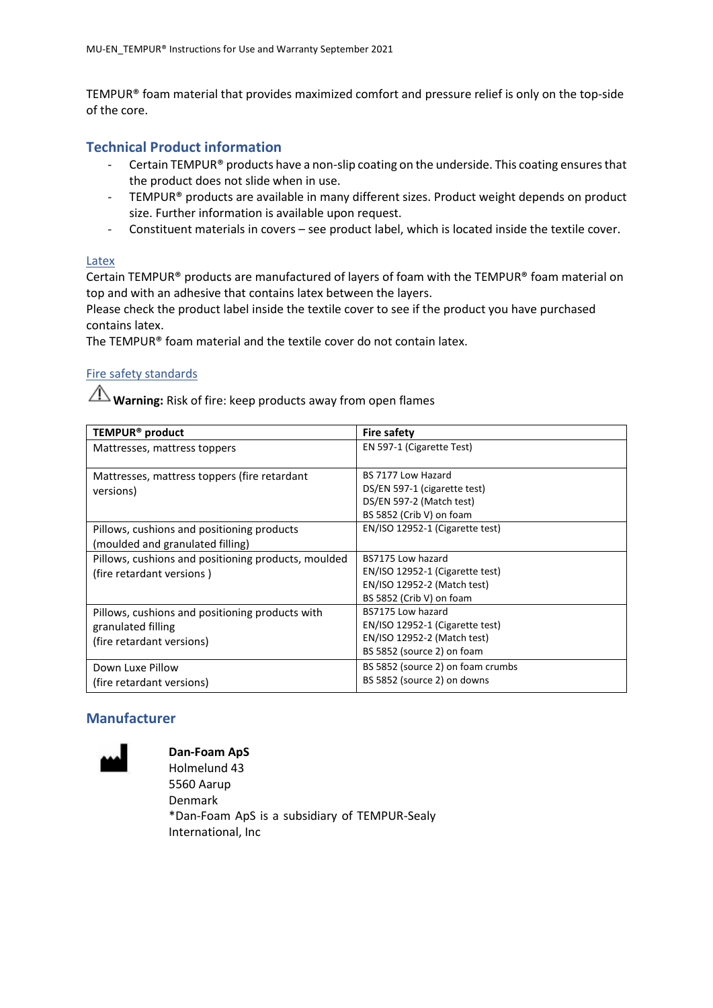TEMPUR® foam material that provides maximized comfort and pressure relief is only on the top-side of the core.

### **Technical Product information**

- Certain TEMPUR® products have a non-slip coating on the underside. This coating ensures that the product does not slide when in use.
- TEMPUR® products are available in many different sizes. Product weight depends on product size. Further information is available upon request.
- Constituent materials in covers see product label, which is located inside the textile cover.

#### Latex

Certain TEMPUR® products are manufactured of layers of foam with the TEMPUR® foam material on top and with an adhesive that contains latex between the layers.

Please check the product label inside the textile cover to see if the product you have purchased contains latex.

The TEMPUR® foam material and the textile cover do not contain latex.

### Fire safety standards

**Warning:** Risk of fire: keep products away from open flames

| TEMPUR <sup>®</sup> product                                                                        | <b>Fire safety</b>                                                                                                |
|----------------------------------------------------------------------------------------------------|-------------------------------------------------------------------------------------------------------------------|
| Mattresses, mattress toppers                                                                       | EN 597-1 (Cigarette Test)                                                                                         |
| Mattresses, mattress toppers (fire retardant<br>versions)                                          | BS 7177 Low Hazard<br>DS/EN 597-1 (cigarette test)<br>DS/EN 597-2 (Match test)<br>BS 5852 (Crib V) on foam        |
| Pillows, cushions and positioning products<br>(moulded and granulated filling)                     | EN/ISO 12952-1 (Cigarette test)                                                                                   |
| Pillows, cushions and positioning products, moulded<br>(fire retardant versions)                   | BS7175 Low hazard<br>EN/ISO 12952-1 (Cigarette test)<br>EN/ISO 12952-2 (Match test)<br>BS 5852 (Crib V) on foam   |
| Pillows, cushions and positioning products with<br>granulated filling<br>(fire retardant versions) | BS7175 Low hazard<br>EN/ISO 12952-1 (Cigarette test)<br>EN/ISO 12952-2 (Match test)<br>BS 5852 (source 2) on foam |
| Down Luxe Pillow<br>(fire retardant versions)                                                      | BS 5852 (source 2) on foam crumbs<br>BS 5852 (source 2) on downs                                                  |

# **Manufacturer**



**Dan-Foam ApS** Holmelund 43 5560 Aarup Denmark \*Dan-Foam ApS is a subsidiary of TEMPUR-Sealy International, Inc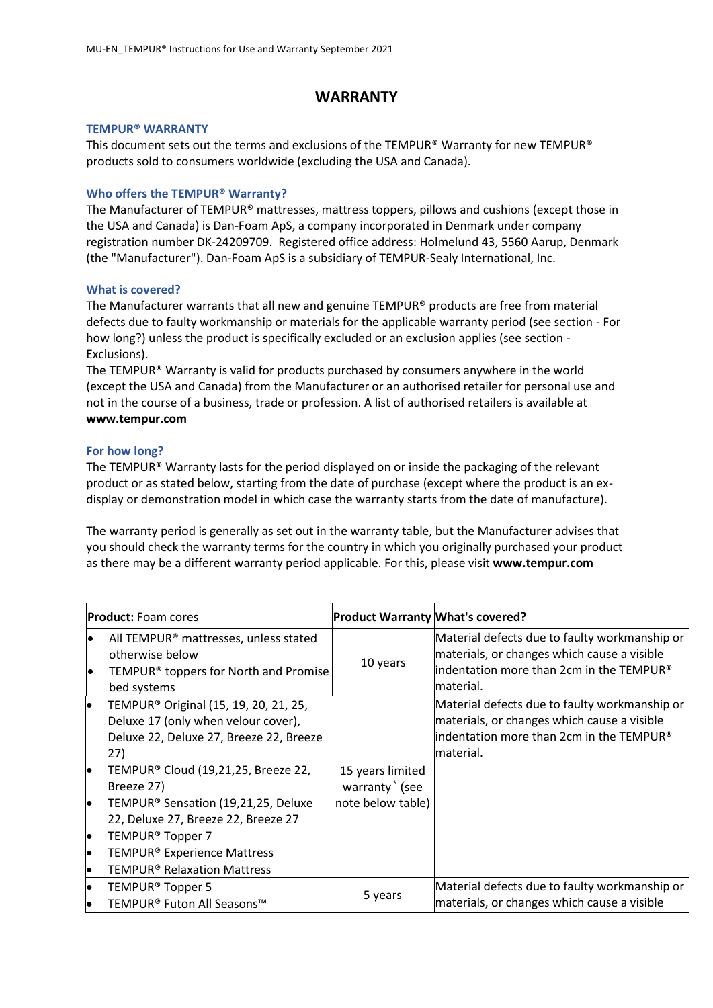## **WARRANTY**

#### **TEMPUR® WARRANTY**

This document sets out the terms and exclusions of the TEMPUR® Warranty for new TEMPUR® products sold to consumers worldwide (excluding the USA and Canada).

#### **Who offers the TEMPUR® Warranty?**

The Manufacturer of TEMPUR® mattresses, mattress toppers, pillows and cushions (except those in the USA and Canada) is Dan-Foam ApS, a company incorporated in Denmark under company registration number DK-24209709. Registered office address: Holmelund 43, 5560 Aarup, Denmark (the "Manufacturer"). Dan-Foam ApS is a subsidiary of TEMPUR-Sealy International, Inc.

#### **What is covered?**

The Manufacturer warrants that all new and genuine TEMPUR® products are free from material defects due to faulty workmanship or materials for the applicable warranty period (see section - For how long?) unless the product is specifically excluded or an exclusion applies (see section - Exclusions).

The TEMPUR® Warranty is valid for products purchased by consumers anywhere in the world (except the USA and Canada) from the Manufacturer or an authorised retailer for personal use and not in the course of a business, trade or profession. A list of authorised retailers is available at **www[.tempur.com](http://www.tempur.com/)**

#### **For how long?**

The TEMPUR® Warranty lasts for the period displayed on or inside the packaging of the relevant product or as stated below, starting from the date of purchase (except where the product is an exdisplay or demonstration model in which case the warranty starts from the date of manufacture).

The warranty period is generally as set out in the warranty table, but the Manufacturer advises that you should check the warranty terms for the country in which you originally purchased your product as there may be a different warranty period applicable. For this, please visit **www.tempur.com**

|          | <b>Product:</b> Foam cores                                                                                                                 | <b>Product Warranty What's covered?</b>        |                                                                                                                                                        |
|----------|--------------------------------------------------------------------------------------------------------------------------------------------|------------------------------------------------|--------------------------------------------------------------------------------------------------------------------------------------------------------|
| le<br>le | All TEMPUR <sup>®</sup> mattresses, unless stated<br>otherwise below<br>TEMPUR <sup>®</sup> toppers for North and Promise<br>bed systems   | 10 years                                       | Material defects due to faulty workmanship or<br>materials, or changes which cause a visible<br>lindentation more than 2cm in the TEMPUR®<br>material. |
| le.      | TEMPUR <sup>®</sup> Original (15, 19, 20, 21, 25,<br>Deluxe 17 (only when velour cover),<br>Deluxe 22, Deluxe 27, Breeze 22, Breeze<br>27) |                                                | Material defects due to faulty workmanship or<br>materials, or changes which cause a visible<br>lindentation more than 2cm in the TEMPUR®<br>material. |
| lo       | TEMPUR® Cloud (19,21,25, Breeze 22,<br>Breeze 27)                                                                                          | 15 years limited<br>warranty <sup>*</sup> (see |                                                                                                                                                        |
| lo       | TEMPUR <sup>®</sup> Sensation (19,21,25, Deluxe<br>22, Deluxe 27, Breeze 22, Breeze 27                                                     | note below table)                              |                                                                                                                                                        |
| l•       | TEMPUR <sup>®</sup> Topper 7                                                                                                               |                                                |                                                                                                                                                        |
| lo       | TEMPUR <sup>®</sup> Experience Mattress                                                                                                    |                                                |                                                                                                                                                        |
| lo       | <b>TEMPUR<sup>®</sup> Relaxation Mattress</b>                                                                                              |                                                |                                                                                                                                                        |
| lo       | TEMPUR <sup>®</sup> Topper 5                                                                                                               |                                                | Material defects due to faulty workmanship or                                                                                                          |
| lo       | TEMPUR® Futon All Seasons™                                                                                                                 | 5 years                                        | materials, or changes which cause a visible                                                                                                            |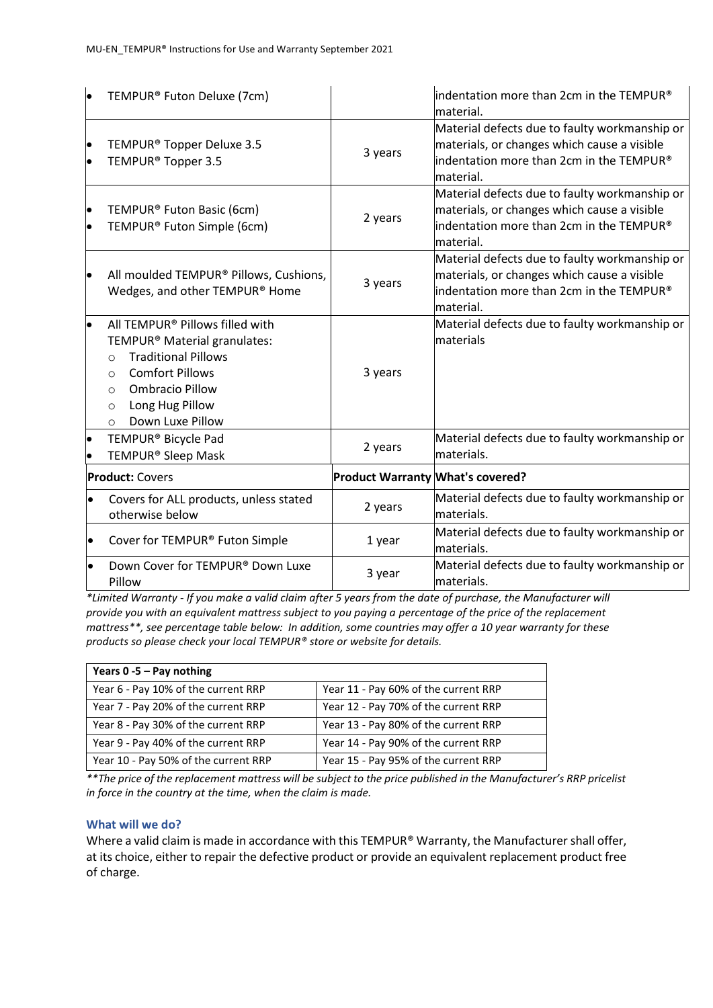| lo                     | TEMPUR® Futon Deluxe (7cm)                                                                                                                                                                                                                       |                                         | indentation more than 2cm in the TEMPUR®<br>material.                                                                                                             |
|------------------------|--------------------------------------------------------------------------------------------------------------------------------------------------------------------------------------------------------------------------------------------------|-----------------------------------------|-------------------------------------------------------------------------------------------------------------------------------------------------------------------|
| $\bullet$<br>$\bullet$ | TEMPUR <sup>®</sup> Topper Deluxe 3.5<br>TEMPUR <sup>®</sup> Topper 3.5                                                                                                                                                                          | 3 years                                 | Material defects due to faulty workmanship or<br>materials, or changes which cause a visible<br>indentation more than 2cm in the TEMPUR®<br>material.             |
| $\bullet$<br>$\bullet$ | TEMPUR® Futon Basic (6cm)<br>TEMPUR® Futon Simple (6cm)                                                                                                                                                                                          | 2 years                                 | Material defects due to faulty workmanship or<br>materials, or changes which cause a visible<br>indentation more than 2cm in the TEMPUR®<br>material.             |
| $\bullet$              | All moulded TEMPUR® Pillows, Cushions,<br>Wedges, and other TEMPUR® Home                                                                                                                                                                         | 3 years                                 | Material defects due to faulty workmanship or<br>materials, or changes which cause a visible<br>$\parallel$ indentation more than 2cm in the TEMPUR®<br>material. |
| ۱.                     | All TEMPUR® Pillows filled with<br>TEMPUR® Material granulates:<br><b>Traditional Pillows</b><br>$\Omega$<br><b>Comfort Pillows</b><br>$\circ$<br><b>Ombracio Pillow</b><br>$\circ$<br>Long Hug Pillow<br>$\circ$<br>Down Luxe Pillow<br>$\circ$ | 3 years                                 | Material defects due to faulty workmanship or<br>materials                                                                                                        |
| $\bullet$              | TEMPUR® Bicycle Pad<br>TEMPUR <sup>®</sup> Sleep Mask                                                                                                                                                                                            | 2 years                                 | Material defects due to faulty workmanship or<br>materials.                                                                                                       |
|                        | <b>Product: Covers</b>                                                                                                                                                                                                                           | <b>Product Warranty What's covered?</b> |                                                                                                                                                                   |
| $\bullet$              | Covers for ALL products, unless stated<br>otherwise below                                                                                                                                                                                        | 2 years                                 | Material defects due to faulty workmanship or<br>lmaterials.                                                                                                      |
| $\bullet$              | Cover for TEMPUR® Futon Simple                                                                                                                                                                                                                   | 1 year                                  | Material defects due to faulty workmanship or<br>materials.                                                                                                       |
| $\bullet$              | Down Cover for TEMPUR® Down Luxe<br>Pillow                                                                                                                                                                                                       | 3 year                                  | Material defects due to faulty workmanship or<br>lmaterials.                                                                                                      |

*\*Limited Warranty - If you make a valid claim after 5 years from the date of purchase, the Manufacturer will provide you with an equivalent mattress subject to you paying a percentage of the price of the replacement mattress\*\*, see percentage table below: In addition, some countries may offer a 10 year warranty for these products so please check your local TEMPUR® store or website for details.*

| Years $0 - 5 - Pay nothing$          |                                      |  |
|--------------------------------------|--------------------------------------|--|
| Year 6 - Pay 10% of the current RRP  | Year 11 - Pay 60% of the current RRP |  |
| Year 7 - Pay 20% of the current RRP  | Year 12 - Pay 70% of the current RRP |  |
| Year 8 - Pay 30% of the current RRP  | Year 13 - Pay 80% of the current RRP |  |
| Year 9 - Pay 40% of the current RRP  | Year 14 - Pay 90% of the current RRP |  |
| Year 10 - Pay 50% of the current RRP | Year 15 - Pay 95% of the current RRP |  |

*\*\*The price of the replacement mattress will be subject to the price published in the Manufacturer's RRP pricelist in force in the country at the time, when the claim is made.*

#### **What will we do?**

Where a valid claim is made in accordance with this TEMPUR® Warranty, the Manufacturer shall offer, at its choice, either to repair the defective product or provide an equivalent replacement product free of charge.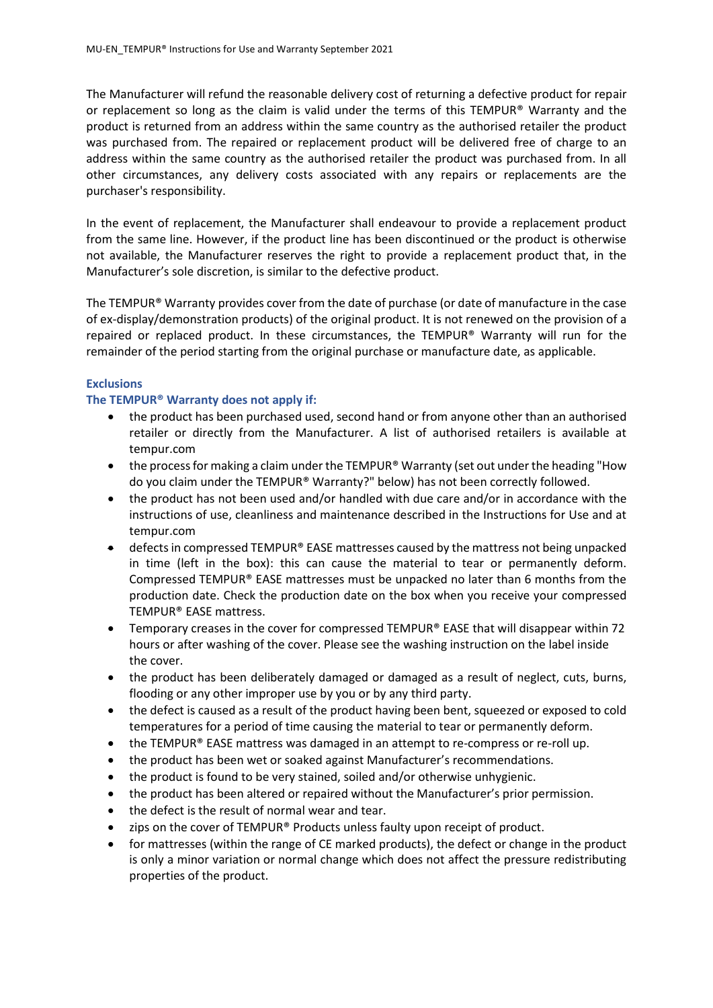The Manufacturer will refund the reasonable delivery cost of returning a defective product for repair or replacement so long as the claim is valid under the terms of this TEMPUR® Warranty and the product is returned from an address within the same country as the authorised retailer the product was purchased from. The repaired or replacement product will be delivered free of charge to an address within the same country as the authorised retailer the product was purchased from. In all other circumstances, any delivery costs associated with any repairs or replacements are the purchaser's responsibility.

In the event of replacement, the Manufacturer shall endeavour to provide a replacement product from the same line. However, if the product line has been discontinued or the product is otherwise not available, the Manufacturer reserves the right to provide a replacement product that, in the Manufacturer's sole discretion, is similar to the defective product.

The TEMPUR® Warranty provides cover from the date of purchase (or date of manufacture in the case of ex-display/demonstration products) of the original product. It is not renewed on the provision of a repaired or replaced product. In these circumstances, the TEMPUR® Warranty will run for the remainder of the period starting from the original purchase or manufacture date, as applicable.

#### **Exclusions**

#### **The TEMPUR® Warranty does not apply if:**

- the product has been purchased used, second hand or from anyone other than an authorised retailer or directly from the Manufacturer. A list of authorised retailers is available at [tempur.com](http://www.tempur.com/)
- the process for making a claim under the TEMPUR® Warranty (set out under the heading "How do you claim under the TEMPUR® Warranty?" below) has not been correctly followed.
- the product has not been used and/or handled with due care and/or in accordance with the instructions of use, cleanliness and maintenance described in the Instructions for Use and at [tempur.com](http://www.tempur.com/)
- $\bullet$  defects in compressed TEMPUR® EASE mattresses caused by the mattress not being unpacked in time (left in the box): this can cause the material to tear or permanently deform. Compressed TEMPUR® EASE mattresses must be unpacked no later than 6 months from the production date. Check the production date on the box when you receive your compressed TEMPUR® EASE mattress.
- Temporary creases in the cover for compressed TEMPUR® EASE that will disappear within 72 hours or after washing of the cover. Please see the washing instruction on the label inside the cover.
- the product has been deliberately damaged or damaged as a result of neglect, cuts, burns, flooding or any other improper use by you or by any third party.
- the defect is caused as a result of the product having been bent, squeezed or exposed to cold temperatures for a period of time causing the material to tear or permanently deform.
- the TEMPUR® EASE mattress was damaged in an attempt to re-compress or re-roll up.
- the product has been wet or soaked against Manufacturer's recommendations.
- the product is found to be very stained, soiled and/or otherwise unhygienic.
- the product has been altered or repaired without the Manufacturer's prior permission.
- the defect is the result of normal wear and tear.
- zips on the cover of TEMPUR® Products unless faulty upon receipt of product.
- for mattresses (within the range of CE marked products), the defect or change in the product is only a minor variation or normal change which does not affect the pressure redistributing properties of the product.